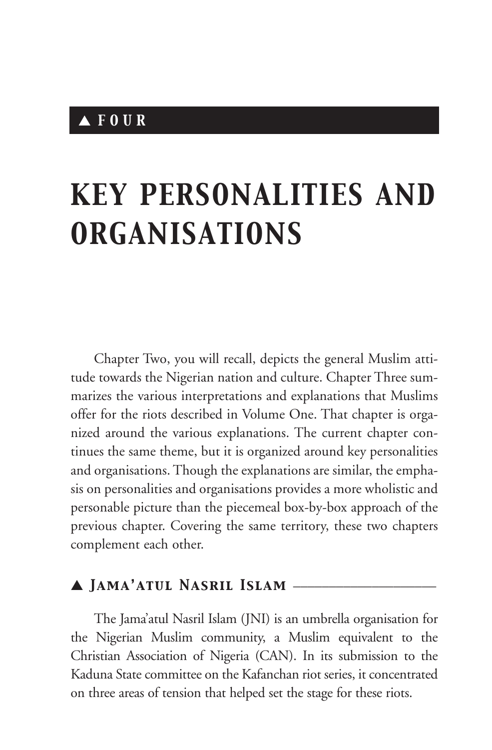## ▲ *FOUR*

# *KEY PERSONALITIES AND ORGANISATIONS*

Chapter Two, you will recall, depicts the general Muslim attitude towards the Nigerian nation and culture. Chapter Three summarizes the various interpretations and explanations that Muslims offer for the riots described in Volume One. That chapter is organized around the various explanations. The current chapter continues the same theme, but it is organized around key personalities and organisations. Though the explanations are similar, the emphasis on personalities and organisations provides a more wholistic and personable picture than the piecemeal box-by-box approach of the previous chapter. Covering the same territory, these two chapters complement each other.

## ▲ *Jama'atul Nasril Islam* \_\_\_\_\_\_\_\_\_\_\_\_\_\_\_\_\_\_\_\_

The Jama'atul Nasril Islam (JNI) is an umbrella organisation for the Nigerian Muslim community, a Muslim equivalent to the Christian Association of Nigeria (CAN). In its submission to the Kaduna State committee on the Kafanchan riot series, it concentrated on three areas of tension that helped set the stage for these riots.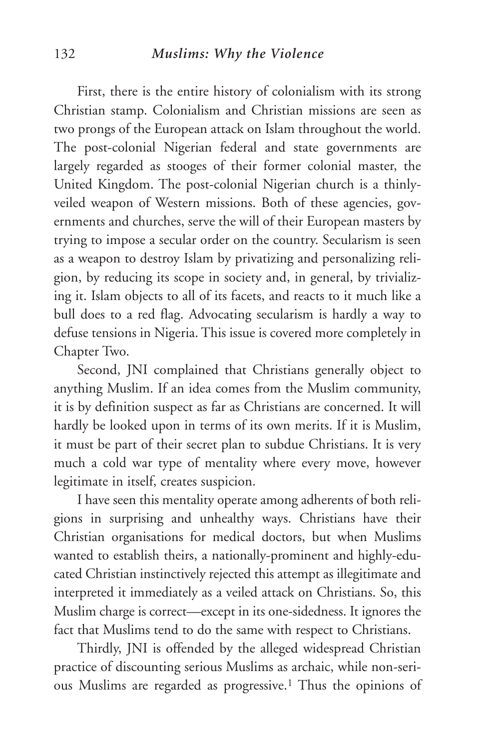#### 132 *Muslims: Why the Violence*

First, there is the entire history of colonialism with its strong Christian stamp. Colonialism and Christian missions are seen as two prongs of the European attack on Islam throughout the world. The post-colonial Nigerian federal and state governments are largely regarded as stooges of their former colonial master, the United Kingdom. The post-colonial Nigerian church is a thinlyveiled weapon of Western missions. Both of these agencies, governments and churches, serve the will of their European masters by trying to impose a secular order on the country. Secularism is seen as a weapon to destroy Islam by privatizing and personalizing religion, by reducing its scope in society and, in general, by trivializing it. Islam objects to all of its facets, and reacts to it much like a bull does to a red flag. Advocating secularism is hardly a way to defuse tensions in Nigeria. This issue is covered more completely in Chapter Two.

Second, JNI complained that Christians generally object to anything Muslim. If an idea comes from the Muslim community, it is by definition suspect as far as Christians are concerned. It will hardly be looked upon in terms of its own merits. If it is Muslim, it must be part of their secret plan to subdue Christians. It is very much a cold war type of mentality where every move, however legitimate in itself, creates suspicion.

I have seen this mentality operate among adherents of both religions in surprising and unhealthy ways. Christians have their Christian organisations for medical doctors, but when Muslims wanted to establish theirs, a nationally-prominent and highly-educated Christian instinctively rejected this attempt as illegitimate and interpreted it immediately as a veiled attack on Christians. So, this Muslim charge is correct—except in its one-sidedness. It ignores the fact that Muslims tend to do the same with respect to Christians.

Thirdly, JNI is offended by the alleged widespread Christian practice of discounting serious Muslims as archaic, while non-serious Muslims are regarded as progressive.1 Thus the opinions of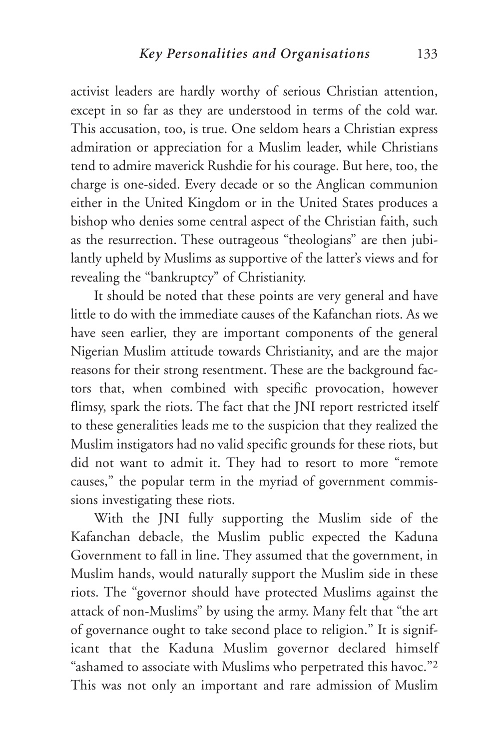activist leaders are hardly worthy of serious Christian attention, except in so far as they are understood in terms of the cold war. This accusation, too, is true. One seldom hears a Christian express admiration or appreciation for a Muslim leader, while Christians tend to admire maverick Rushdie for his courage. But here, too, the charge is one-sided. Every decade or so the Anglican communion either in the United Kingdom or in the United States produces a bishop who denies some central aspect of the Christian faith, such as the resurrection. These outrageous "theologians" are then jubilantly upheld by Muslims as supportive of the latter's views and for revealing the "bankruptcy" of Christianity.

It should be noted that these points are very general and have little to do with the immediate causes of the Kafanchan riots. As we have seen earlier, they are important components of the general Nigerian Muslim attitude towards Christianity, and are the major reasons for their strong resentment. These are the background factors that, when combined with specific provocation, however flimsy, spark the riots. The fact that the JNI report restricted itself to these generalities leads me to the suspicion that they realized the Muslim instigators had no valid specific grounds for these riots, but did not want to admit it. They had to resort to more "remote causes," the popular term in the myriad of government commissions investigating these riots.

With the JNI fully supporting the Muslim side of the Kafanchan debacle, the Muslim public expected the Kaduna Government to fall in line. They assumed that the government, in Muslim hands, would naturally support the Muslim side in these riots. The "governor should have protected Muslims against the attack of non-Muslims" by using the army. Many felt that "the art of governance ought to take second place to religion." It is significant that the Kaduna Muslim governor declared himself "ashamed to associate with Muslims who perpetrated this havoc."2 This was not only an important and rare admission of Muslim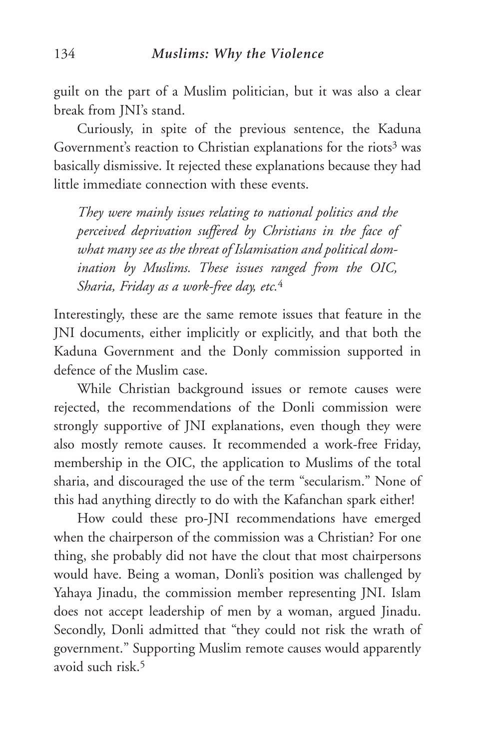guilt on the part of a Muslim politician, but it was also a clear break from JNI's stand.

Curiously, in spite of the previous sentence, the Kaduna Government's reaction to Christian explanations for the riots<sup>3</sup> was basically dismissive. It rejected these explanations because they had little immediate connection with these events.

*They were mainly issues relating to national politics and the perceived deprivation suffered by Christians in the face of what many see as the threat of Islamisation and political domination by Muslims. These issues ranged from the OIC, Sharia, Friday as a work-free day, etc.*<sup>4</sup>

Interestingly, these are the same remote issues that feature in the JNI documents, either implicitly or explicitly, and that both the Kaduna Government and the Donly commission supported in defence of the Muslim case.

While Christian background issues or remote causes were rejected, the recommendations of the Donli commission were strongly supportive of JNI explanations, even though they were also mostly remote causes. It recommended a work-free Friday, membership in the OIC, the application to Muslims of the total sharia, and discouraged the use of the term "secularism." None of this had anything directly to do with the Kafanchan spark either!

How could these pro-JNI recommendations have emerged when the chairperson of the commission was a Christian? For one thing, she probably did not have the clout that most chairpersons would have. Being a woman, Donli's position was challenged by Yahaya Jinadu, the commission member representing JNI. Islam does not accept leadership of men by a woman, argued Jinadu. Secondly, Donli admitted that "they could not risk the wrath of government." Supporting Muslim remote causes would apparently avoid such risk.5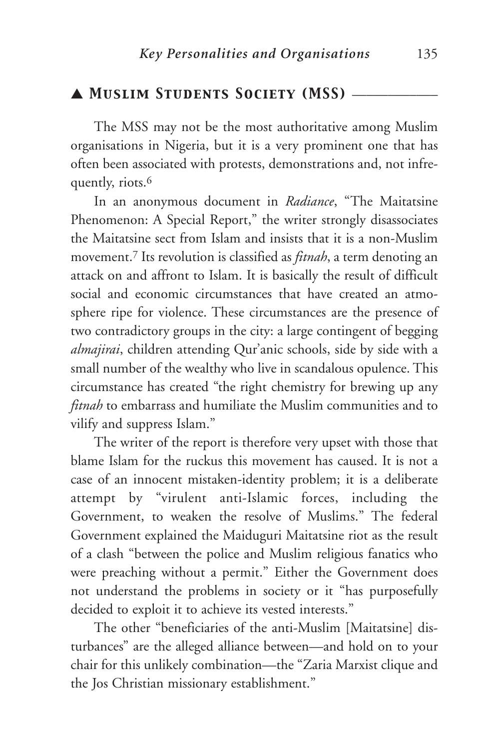## ▲ *Muslim Students Society (MSS)* \_\_\_\_\_\_\_\_\_\_\_\_

The MSS may not be the most authoritative among Muslim organisations in Nigeria, but it is a very prominent one that has often been associated with protests, demonstrations and, not infrequently, riots.<sup>6</sup>

In an anonymous document in *Radiance*, "The Maitatsine Phenomenon: A Special Report," the writer strongly disassociates the Maitatsine sect from Islam and insists that it is a non-Muslim movement.7 Its revolution is classified as *fitnah*, a term denoting an attack on and affront to Islam. It is basically the result of difficult social and economic circumstances that have created an atmosphere ripe for violence. These circumstances are the presence of two contradictory groups in the city: a large contingent of begging *almajirai*, children attending Qur'anic schools, side by side with a small number of the wealthy who live in scandalous opulence. This circumstance has created "the right chemistry for brewing up any *fitnah* to embarrass and humiliate the Muslim communities and to vilify and suppress Islam."

The writer of the report is therefore very upset with those that blame Islam for the ruckus this movement has caused. It is not a case of an innocent mistaken-identity problem; it is a deliberate attempt by "virulent anti-Islamic forces, including the Government, to weaken the resolve of Muslims." The federal Government explained the Maiduguri Maitatsine riot as the result of a clash "between the police and Muslim religious fanatics who were preaching without a permit." Either the Government does not understand the problems in society or it "has purposefully decided to exploit it to achieve its vested interests."

The other "beneficiaries of the anti-Muslim [Maitatsine] disturbances" are the alleged alliance between—and hold on to your chair for this unlikely combination—the "Zaria Marxist clique and the Jos Christian missionary establishment."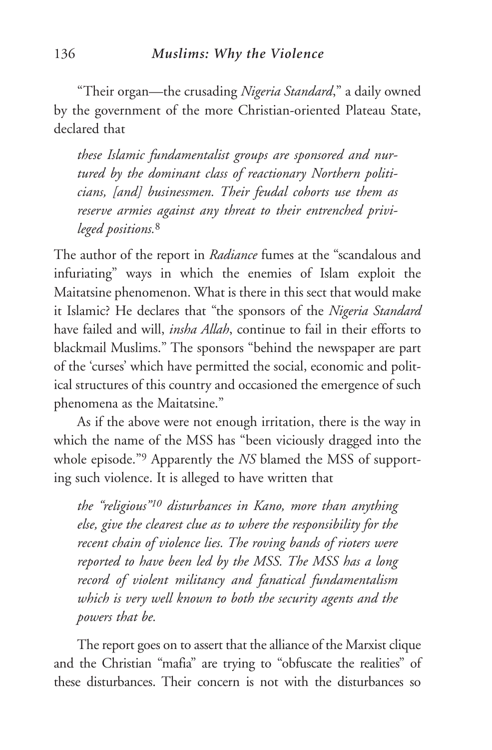"Their organ—the crusading *Nigeria Standard*," a daily owned by the government of the more Christian-oriented Plateau State, declared that

*these Islamic fundamentalist groups are sponsored and nurtured by the dominant class of reactionary Northern politicians, [and] businessmen. Their feudal cohorts use them as reserve armies against any threat to their entrenched privileged positions.*<sup>8</sup>

The author of the report in *Radiance* fumes at the "scandalous and infuriating" ways in which the enemies of Islam exploit the Maitatsine phenomenon. What is there in this sect that would make it Islamic? He declares that "the sponsors of the *Nigeria Standard* have failed and will, *insha Allah*, continue to fail in their efforts to blackmail Muslims." The sponsors "behind the newspaper are part of the 'curses' which have permitted the social, economic and political structures of this country and occasioned the emergence of such phenomena as the Maitatsine."

As if the above were not enough irritation, there is the way in which the name of the MSS has "been viciously dragged into the whole episode."9 Apparently the *NS* blamed the MSS of supporting such violence. It is alleged to have written that

*the "religious"10 disturbances in Kano, more than anything else, give the clearest clue as to where the responsibility for the recent chain of violence lies. The roving bands of rioters were reported to have been led by the MSS. The MSS has a long record of violent militancy and fanatical fundamentalism which is very well known to both the security agents and the powers that be.*

The report goes on to assert that the alliance of the Marxist clique and the Christian "mafia" are trying to "obfuscate the realities" of these disturbances. Their concern is not with the disturbances so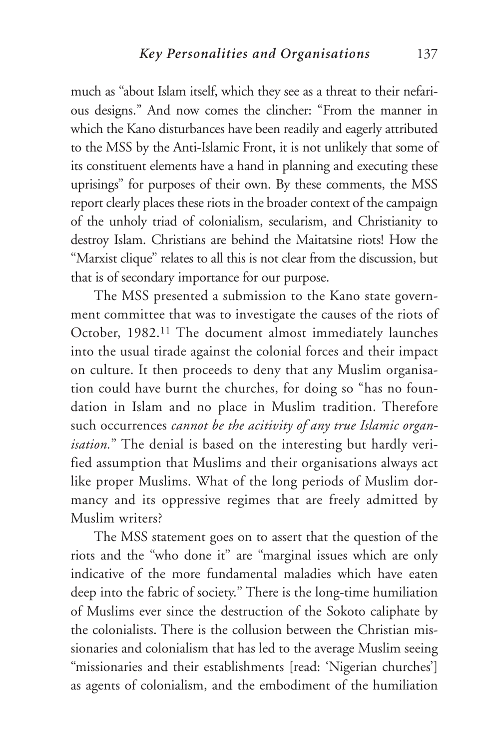much as "about Islam itself, which they see as a threat to their nefarious designs." And now comes the clincher: "From the manner in which the Kano disturbances have been readily and eagerly attributed to the MSS by the Anti-Islamic Front, it is not unlikely that some of its constituent elements have a hand in planning and executing these uprisings" for purposes of their own. By these comments, the MSS report clearly places these riots in the broader context of the campaign of the unholy triad of colonialism, secularism, and Christianity to destroy Islam. Christians are behind the Maitatsine riots! How the "Marxist clique" relates to all this is not clear from the discussion, but that is of secondary importance for our purpose.

The MSS presented a submission to the Kano state government committee that was to investigate the causes of the riots of October, 1982.11 The document almost immediately launches into the usual tirade against the colonial forces and their impact on culture. It then proceeds to deny that any Muslim organisation could have burnt the churches, for doing so "has no foundation in Islam and no place in Muslim tradition. Therefore such occurrences *cannot be the acitivity of any true Islamic organisation.*" The denial is based on the interesting but hardly verified assumption that Muslims and their organisations always act like proper Muslims. What of the long periods of Muslim dormancy and its oppressive regimes that are freely admitted by Muslim writers?

The MSS statement goes on to assert that the question of the riots and the "who done it" are "marginal issues which are only indicative of the more fundamental maladies which have eaten deep into the fabric of society." There is the long-time humiliation of Muslims ever since the destruction of the Sokoto caliphate by the colonialists. There is the collusion between the Christian missionaries and colonialism that has led to the average Muslim seeing "missionaries and their establishments [read: 'Nigerian churches'] as agents of colonialism, and the embodiment of the humiliation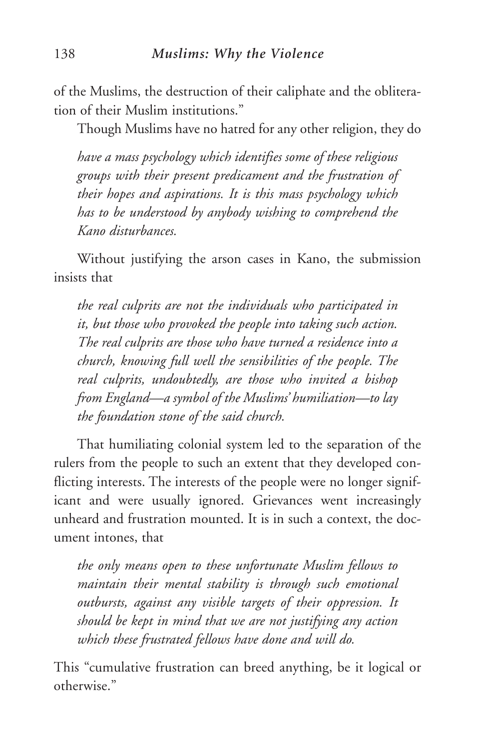of the Muslims, the destruction of their caliphate and the obliteration of their Muslim institutions."

Though Muslims have no hatred for any other religion, they do

*have a mass psychology which identifies some of these religious groups with their present predicament and the frustration of their hopes and aspirations. It is this mass psychology which has to be understood by anybody wishing to comprehend the Kano disturbances.*

Without justifying the arson cases in Kano, the submission insists that

*the real culprits are not the individuals who participated in it, but those who provoked the people into taking such action. The real culprits are those who have turned a residence into a church, knowing full well the sensibilities of the people. The real culprits, undoubtedly, are those who invited a bishop from England—a symbol of the Muslims' humiliation—to lay the foundation stone of the said church.*

That humiliating colonial system led to the separation of the rulers from the people to such an extent that they developed conflicting interests. The interests of the people were no longer significant and were usually ignored. Grievances went increasingly unheard and frustration mounted. It is in such a context, the document intones, that

*the only means open to these unfortunate Muslim fellows to maintain their mental stability is through such emotional outbursts, against any visible targets of their oppression. It should be kept in mind that we are not justifying any action which these frustrated fellows have done and will do.*

This "cumulative frustration can breed anything, be it logical or otherwise."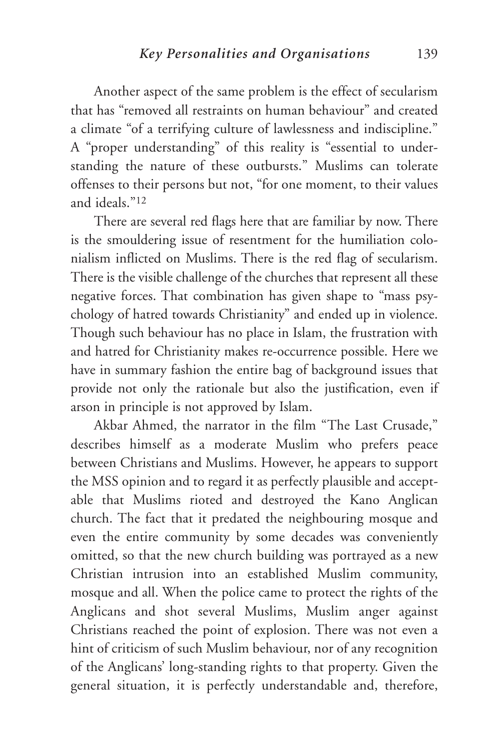Another aspect of the same problem is the effect of secularism that has "removed all restraints on human behaviour" and created a climate "of a terrifying culture of lawlessness and indiscipline." A "proper understanding" of this reality is "essential to understanding the nature of these outbursts." Muslims can tolerate offenses to their persons but not, "for one moment, to their values and ideals."12

There are several red flags here that are familiar by now. There is the smouldering issue of resentment for the humiliation colonialism inflicted on Muslims. There is the red flag of secularism. There is the visible challenge of the churches that represent all these negative forces. That combination has given shape to "mass psychology of hatred towards Christianity" and ended up in violence. Though such behaviour has no place in Islam, the frustration with and hatred for Christianity makes re-occurrence possible. Here we have in summary fashion the entire bag of background issues that provide not only the rationale but also the justification, even if arson in principle is not approved by Islam.

Akbar Ahmed, the narrator in the film "The Last Crusade," describes himself as a moderate Muslim who prefers peace between Christians and Muslims. However, he appears to support the MSS opinion and to regard it as perfectly plausible and acceptable that Muslims rioted and destroyed the Kano Anglican church. The fact that it predated the neighbouring mosque and even the entire community by some decades was conveniently omitted, so that the new church building was portrayed as a new Christian intrusion into an established Muslim community, mosque and all. When the police came to protect the rights of the Anglicans and shot several Muslims, Muslim anger against Christians reached the point of explosion. There was not even a hint of criticism of such Muslim behaviour, nor of any recognition of the Anglicans' long-standing rights to that property. Given the general situation, it is perfectly understandable and, therefore,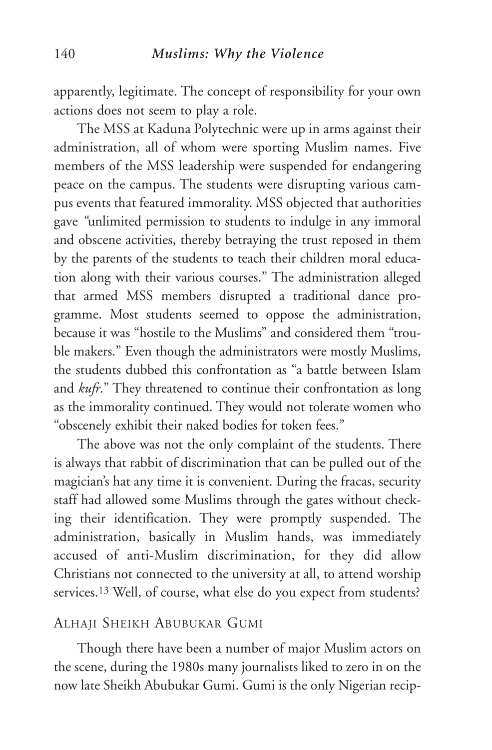apparently, legitimate. The concept of responsibility for your own actions does not seem to play a role.

The MSS at Kaduna Polytechnic were up in arms against their administration, all of whom were sporting Muslim names. Five members of the MSS leadership were suspended for endangering peace on the campus. The students were disrupting various campus events that featured immorality. MSS objected that authorities gave *"*unlimited permission to students to indulge in any immoral and obscene activities, thereby betraying the trust reposed in them by the parents of the students to teach their children moral education along with their various courses." The administration alleged that armed MSS members disrupted a traditional dance programme. Most students seemed to oppose the administration, because it was "hostile to the Muslims" and considered them "trouble makers." Even though the administrators were mostly Muslims, the students dubbed this confrontation as "a battle between Islam and *kufr*." They threatened to continue their confrontation as long as the immorality continued. They would not tolerate women who "obscenely exhibit their naked bodies for token fees."

The above was not the only complaint of the students. There is always that rabbit of discrimination that can be pulled out of the magician's hat any time it is convenient. During the fracas, security staff had allowed some Muslims through the gates without checking their identification. They were promptly suspended. The administration, basically in Muslim hands, was immediately accused of anti-Muslim discrimination, for they did allow Christians not connected to the university at all, to attend worship services.13 Well, of course, what else do you expect from students?

#### ALHAJI SHEIKH ABUBUKAR GUMI

Though there have been a number of major Muslim actors on the scene, during the 1980s many journalists liked to zero in on the now late Sheikh Abubukar Gumi. Gumi is the only Nigerian recip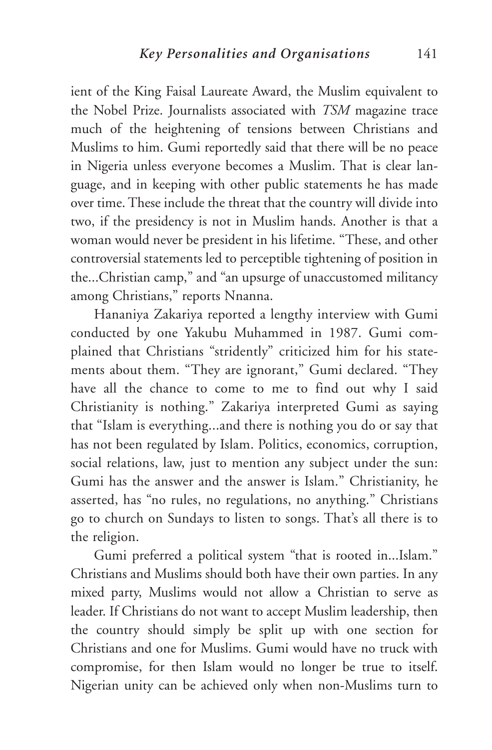ient of the King Faisal Laureate Award, the Muslim equivalent to the Nobel Prize. Journalists associated with *TSM* magazine trace much of the heightening of tensions between Christians and Muslims to him. Gumi reportedly said that there will be no peace in Nigeria unless everyone becomes a Muslim. That is clear language, and in keeping with other public statements he has made over time. These include the threat that the country will divide into two, if the presidency is not in Muslim hands. Another is that a woman would never be president in his lifetime. "These, and other controversial statements led to perceptible tightening of position in the...Christian camp," and "an upsurge of unaccustomed militancy among Christians," reports Nnanna.

Hananiya Zakariya reported a lengthy interview with Gumi conducted by one Yakubu Muhammed in 1987. Gumi complained that Christians "stridently" criticized him for his statements about them. "They are ignorant," Gumi declared. "They have all the chance to come to me to find out why I said Christianity is nothing." Zakariya interpreted Gumi as saying that "Islam is everything...and there is nothing you do or say that has not been regulated by Islam. Politics, economics, corruption, social relations, law, just to mention any subject under the sun: Gumi has the answer and the answer is Islam." Christianity, he asserted, has "no rules, no regulations, no anything." Christians go to church on Sundays to listen to songs. That's all there is to the religion.

Gumi preferred a political system "that is rooted in...Islam." Christians and Muslims should both have their own parties. In any mixed party, Muslims would not allow a Christian to serve as leader. If Christians do not want to accept Muslim leadership, then the country should simply be split up with one section for Christians and one for Muslims. Gumi would have no truck with compromise, for then Islam would no longer be true to itself. Nigerian unity can be achieved only when non-Muslims turn to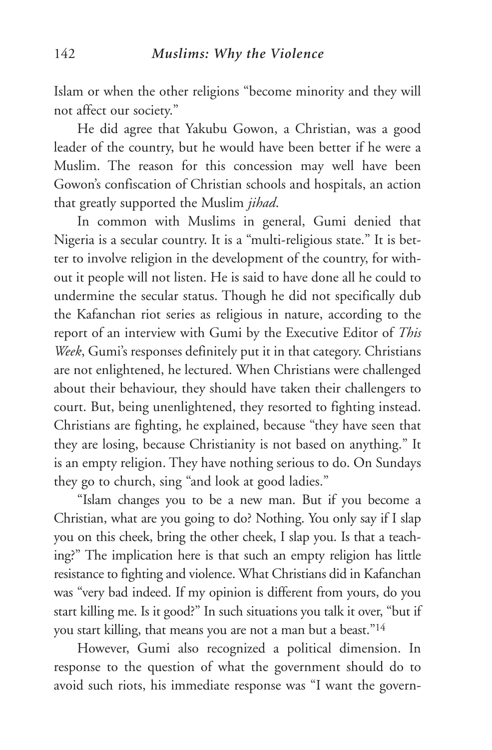Islam or when the other religions "become minority and they will not affect our society."

He did agree that Yakubu Gowon, a Christian, was a good leader of the country, but he would have been better if he were a Muslim. The reason for this concession may well have been Gowon's confiscation of Christian schools and hospitals, an action that greatly supported the Muslim *jihad*.

In common with Muslims in general, Gumi denied that Nigeria is a secular country. It is a "multi-religious state." It is better to involve religion in the development of the country, for without it people will not listen. He is said to have done all he could to undermine the secular status. Though he did not specifically dub the Kafanchan riot series as religious in nature, according to the report of an interview with Gumi by the Executive Editor of *This Week*, Gumi's responses definitely put it in that category. Christians are not enlightened, he lectured. When Christians were challenged about their behaviour, they should have taken their challengers to court. But, being unenlightened, they resorted to fighting instead. Christians are fighting, he explained, because "they have seen that they are losing, because Christianity is not based on anything." It is an empty religion. They have nothing serious to do. On Sundays they go to church, sing "and look at good ladies."

"Islam changes you to be a new man. But if you become a Christian, what are you going to do? Nothing. You only say if I slap you on this cheek, bring the other cheek, I slap you. Is that a teaching?" The implication here is that such an empty religion has little resistance to fighting and violence. What Christians did in Kafanchan was "very bad indeed. If my opinion is different from yours, do you start killing me. Is it good?" In such situations you talk it over, "but if you start killing, that means you are not a man but a beast."14

However, Gumi also recognized a political dimension. In response to the question of what the government should do to avoid such riots, his immediate response was "I want the govern-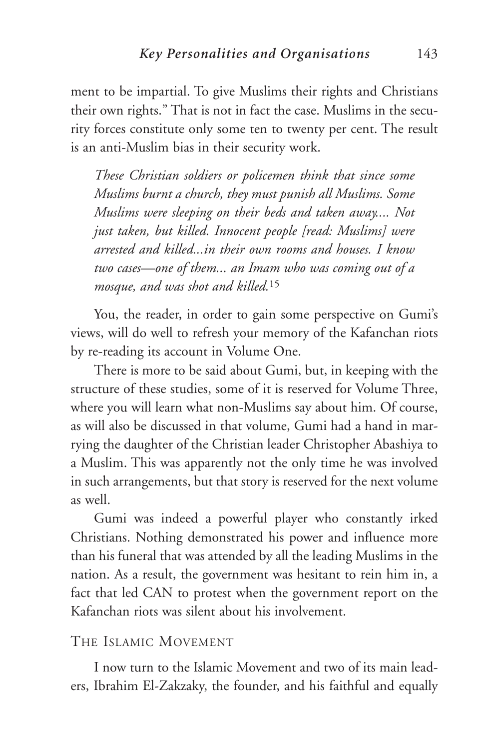ment to be impartial. To give Muslims their rights and Christians their own rights." That is not in fact the case. Muslims in the security forces constitute only some ten to twenty per cent. The result is an anti-Muslim bias in their security work.

*These Christian soldiers or policemen think that since some Muslims burnt a church, they must punish all Muslims. Some Muslims were sleeping on their beds and taken away.... Not just taken, but killed. Innocent people [read: Muslims] were arrested and killed...in their own rooms and houses. I know two cases—one of them... an Imam who was coming out of a mosque, and was shot and killed.*<sup>15</sup>

You, the reader, in order to gain some perspective on Gumi's views, will do well to refresh your memory of the Kafanchan riots by re-reading its account in Volume One.

There is more to be said about Gumi, but, in keeping with the structure of these studies, some of it is reserved for Volume Three, where you will learn what non-Muslims say about him. Of course, as will also be discussed in that volume, Gumi had a hand in marrying the daughter of the Christian leader Christopher Abashiya to a Muslim. This was apparently not the only time he was involved in such arrangements, but that story is reserved for the next volume as well.

Gumi was indeed a powerful player who constantly irked Christians. Nothing demonstrated his power and influence more than his funeral that was attended by all the leading Muslims in the nation. As a result, the government was hesitant to rein him in, a fact that led CAN to protest when the government report on the Kafanchan riots was silent about his involvement.

#### THE ISLAMIC MOVEMENT

I now turn to the Islamic Movement and two of its main leaders, Ibrahim El-Zakzaky, the founder, and his faithful and equally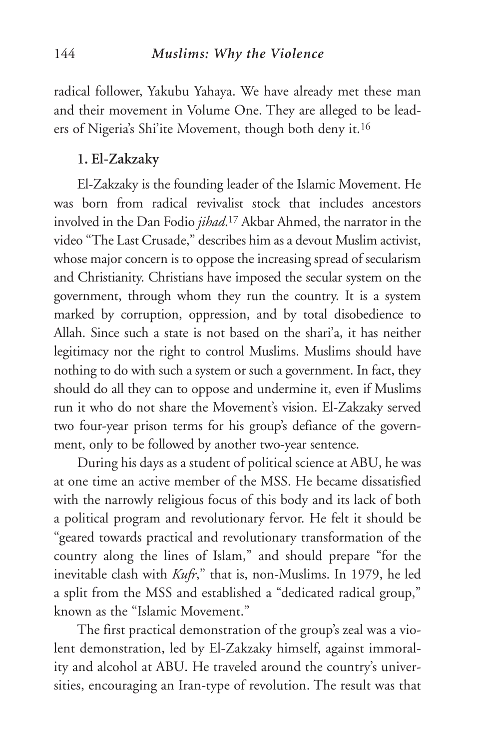radical follower, Yakubu Yahaya. We have already met these man and their movement in Volume One. They are alleged to be leaders of Nigeria's Shi'ite Movement, though both deny it.16

#### **1. El-Zakzaky**

El-Zakzaky is the founding leader of the Islamic Movement. He was born from radical revivalist stock that includes ancestors involved in the Dan Fodio *jihad*. <sup>17</sup> Akbar Ahmed, the narrator in the video "The Last Crusade," describes him as a devout Muslim activist, whose major concern is to oppose the increasing spread of secularism and Christianity. Christians have imposed the secular system on the government, through whom they run the country. It is a system marked by corruption, oppression, and by total disobedience to Allah. Since such a state is not based on the shari'a, it has neither legitimacy nor the right to control Muslims. Muslims should have nothing to do with such a system or such a government. In fact, they should do all they can to oppose and undermine it, even if Muslims run it who do not share the Movement's vision. El-Zakzaky served two four-year prison terms for his group's defiance of the government, only to be followed by another two-year sentence.

During his days as a student of political science at ABU, he was at one time an active member of the MSS. He became dissatisfied with the narrowly religious focus of this body and its lack of both a political program and revolutionary fervor. He felt it should be "geared towards practical and revolutionary transformation of the country along the lines of Islam," and should prepare "for the inevitable clash with *Kufr*," that is, non-Muslims. In 1979, he led a split from the MSS and established a "dedicated radical group," known as the "Islamic Movement."

The first practical demonstration of the group's zeal was a violent demonstration, led by El-Zakzaky himself, against immorality and alcohol at ABU. He traveled around the country's universities, encouraging an Iran-type of revolution. The result was that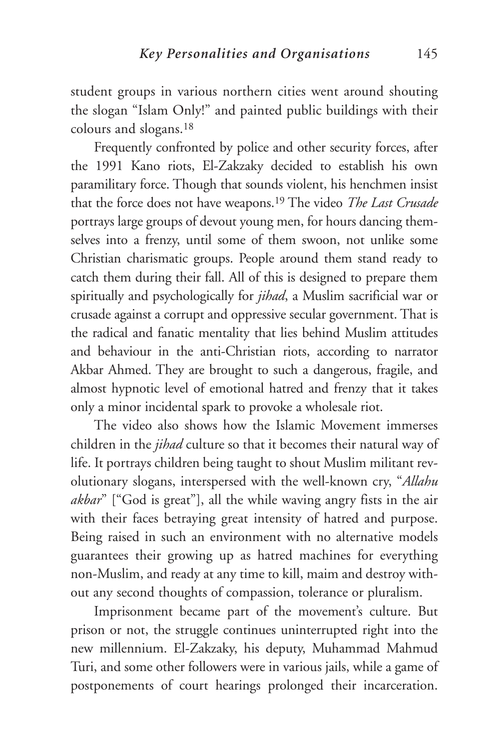student groups in various northern cities went around shouting the slogan "Islam Only!" and painted public buildings with their colours and slogans.18

Frequently confronted by police and other security forces, after the 1991 Kano riots, El-Zakzaky decided to establish his own paramilitary force. Though that sounds violent, his henchmen insist that the force does not have weapons.19 The video *The Last Crusade* portrays large groups of devout young men, for hours dancing themselves into a frenzy, until some of them swoon, not unlike some Christian charismatic groups. People around them stand ready to catch them during their fall. All of this is designed to prepare them spiritually and psychologically for *jihad*, a Muslim sacrificial war or crusade against a corrupt and oppressive secular government. That is the radical and fanatic mentality that lies behind Muslim attitudes and behaviour in the anti-Christian riots, according to narrator Akbar Ahmed. They are brought to such a dangerous, fragile, and almost hypnotic level of emotional hatred and frenzy that it takes only a minor incidental spark to provoke a wholesale riot.

The video also shows how the Islamic Movement immerses children in the *jihad* culture so that it becomes their natural way of life. It portrays children being taught to shout Muslim militant revolutionary slogans, interspersed with the well-known cry, "*Allahu akbar*" ["God is great"], all the while waving angry fists in the air with their faces betraying great intensity of hatred and purpose. Being raised in such an environment with no alternative models guarantees their growing up as hatred machines for everything non-Muslim, and ready at any time to kill, maim and destroy without any second thoughts of compassion, tolerance or pluralism.

Imprisonment became part of the movement's culture. But prison or not, the struggle continues uninterrupted right into the new millennium. El-Zakzaky, his deputy, Muhammad Mahmud Turi, and some other followers were in various jails, while a game of postponements of court hearings prolonged their incarceration.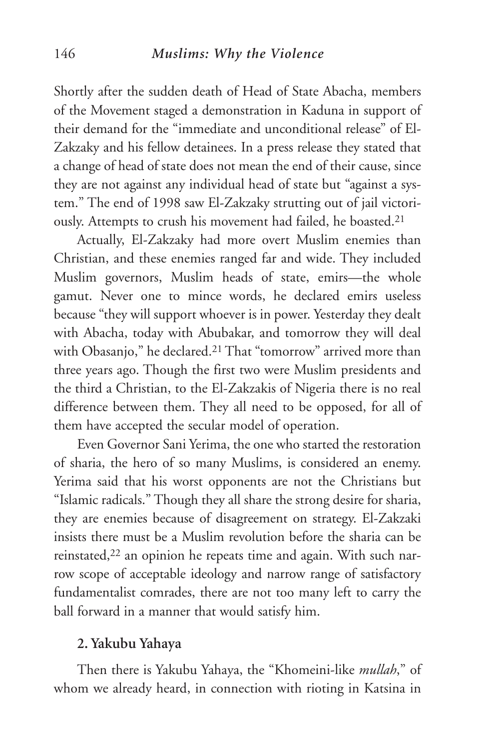Shortly after the sudden death of Head of State Abacha, members of the Movement staged a demonstration in Kaduna in support of their demand for the "immediate and unconditional release" of El-Zakzaky and his fellow detainees. In a press release they stated that a change of head of state does not mean the end of their cause, since they are not against any individual head of state but "against a system." The end of 1998 saw El-Zakzaky strutting out of jail victoriously. Attempts to crush his movement had failed, he boasted.21

Actually, El-Zakzaky had more overt Muslim enemies than Christian, and these enemies ranged far and wide. They included Muslim governors, Muslim heads of state, emirs—the whole gamut. Never one to mince words, he declared emirs useless because "they will support whoever is in power. Yesterday they dealt with Abacha, today with Abubakar, and tomorrow they will deal with Obasanjo," he declared.21 That "tomorrow" arrived more than three years ago. Though the first two were Muslim presidents and the third a Christian, to the El-Zakzakis of Nigeria there is no real difference between them. They all need to be opposed, for all of them have accepted the secular model of operation.

Even Governor Sani Yerima, the one who started the restoration of sharia, the hero of so many Muslims, is considered an enemy. Yerima said that his worst opponents are not the Christians but "Islamic radicals." Though they all share the strong desire for sharia, they are enemies because of disagreement on strategy. El-Zakzaki insists there must be a Muslim revolution before the sharia can be reinstated,<sup>22</sup> an opinion he repeats time and again. With such narrow scope of acceptable ideology and narrow range of satisfactory fundamentalist comrades, there are not too many left to carry the ball forward in a manner that would satisfy him.

#### **2. Yakubu Yahaya**

Then there is Yakubu Yahaya, the "Khomeini-like *mullah*," of whom we already heard, in connection with rioting in Katsina in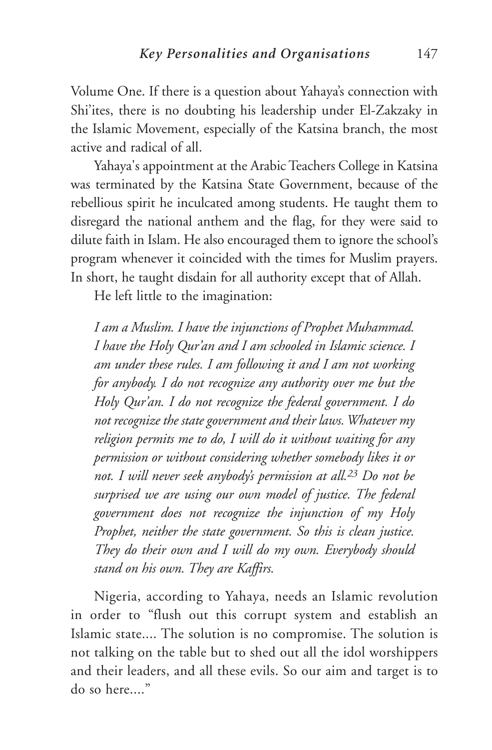Volume One. If there is a question about Yahaya's connection with Shi'ites, there is no doubting his leadership under El-Zakzaky in the Islamic Movement, especially of the Katsina branch, the most active and radical of all.

Yahaya's appointment at the Arabic Teachers College in Katsina was terminated by the Katsina State Government, because of the rebellious spirit he inculcated among students. He taught them to disregard the national anthem and the flag, for they were said to dilute faith in Islam. He also encouraged them to ignore the school's program whenever it coincided with the times for Muslim prayers. In short, he taught disdain for all authority except that of Allah.

He left little to the imagination:

*I am a Muslim. I have the injunctions of Prophet Muhammad. I have the Holy Qur'an and I am schooled in Islamic science. I am under these rules. I am following it and I am not working for anybody. I do not recognize any authority over me but the Holy Qur'an. I do not recognize the federal government. I do not recognize the state government and their laws. Whatever my religion permits me to do, I will do it without waiting for any permission or without considering whether somebody likes it or not. I will never seek anybody's permission at all.23 Do not be surprised we are using our own model of justice. The federal government does not recognize the injunction of my Holy Prophet, neither the state government. So this is clean justice. They do their own and I will do my own. Everybody should stand on his own. They are Kaffirs.*

Nigeria, according to Yahaya, needs an Islamic revolution in order to "flush out this corrupt system and establish an Islamic state.... The solution is no compromise. The solution is not talking on the table but to shed out all the idol worshippers and their leaders, and all these evils. So our aim and target is to  $\frac{d}{d}$  so here..."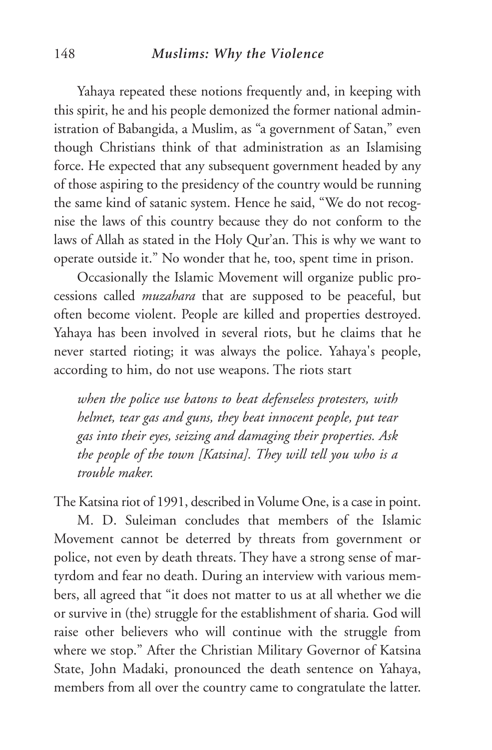#### 148 *Muslims: Why the Violence*

Yahaya repeated these notions frequently and, in keeping with this spirit, he and his people demonized the former national administration of Babangida, a Muslim, as "a government of Satan," even though Christians think of that administration as an Islamising force. He expected that any subsequent government headed by any of those aspiring to the presidency of the country would be running the same kind of satanic system. Hence he said, "We do not recognise the laws of this country because they do not conform to the laws of Allah as stated in the Holy Qur'an. This is why we want to operate outside it." No wonder that he, too, spent time in prison.

Occasionally the Islamic Movement will organize public processions called *muzahara* that are supposed to be peaceful, but often become violent. People are killed and properties destroyed. Yahaya has been involved in several riots, but he claims that he never started rioting; it was always the police. Yahaya's people, according to him, do not use weapons. The riots start

*when the police use batons to beat defenseless protesters, with helmet, tear gas and guns, they beat innocent people, put tear gas into their eyes, seizing and damaging their properties. Ask the people of the town [Katsina]. They will tell you who is a trouble maker.*

The Katsina riot of 1991, described in Volume One, is a case in point.

M. D. Suleiman concludes that members of the Islamic Movement cannot be deterred by threats from government or police, not even by death threats. They have a strong sense of martyrdom and fear no death. During an interview with various members, all agreed that "it does not matter to us at all whether we die or survive in (the) struggle for the establishment of sharia*.* God will raise other believers who will continue with the struggle from where we stop." After the Christian Military Governor of Katsina State, John Madaki, pronounced the death sentence on Yahaya, members from all over the country came to congratulate the latter.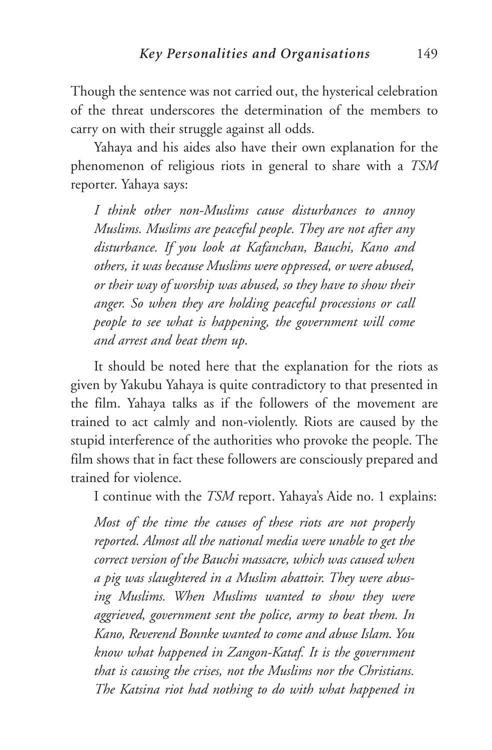Though the sentence was not carried out, the hysterical celebration of the threat underscores the determination of the members to carry on with their struggle against all odds.

Yahaya and his aides also have their own explanation for the phenomenon of religious riots in general to share with a *TSM* reporter. Yahaya says:

*I think other non-Muslims cause disturbances to annoy Muslims. Muslims are peaceful people. They are not after any disturbance. If you look at Kafanchan, Bauchi, Kano and others, it was because Muslims were oppressed, or were abused, or their way of worship was abused, so they have to show their anger. So when they are holding peaceful processions or call people to see what is happening, the government will come and arrest and beat them up.*

It should be noted here that the explanation for the riots as given by Yakubu Yahaya is quite contradictory to that presented in the film. Yahaya talks as if the followers of the movement are trained to act calmly and non-violently. Riots are caused by the stupid interference of the authorities who provoke the people. The film shows that in fact these followers are consciously prepared and trained for violence.

I continue with the *TSM* report. Yahaya's Aide no. 1 explains:

*Most of the time the causes of these riots are not properly reported. Almost all the national media were unable to get the correct version of the Bauchi massacre, which was caused when a pig was slaughtered in a Muslim abattoir. They were abusing Muslims. When Muslims wanted to show they were aggrieved, government sent the police, army to beat them. In Kano, Reverend Bonnke wanted to come and abuse Islam. You know what happened in Zangon-Kataf. It is the government that is causing the crises, not the Muslims nor the Christians. The Katsina riot had nothing to do with what happened in*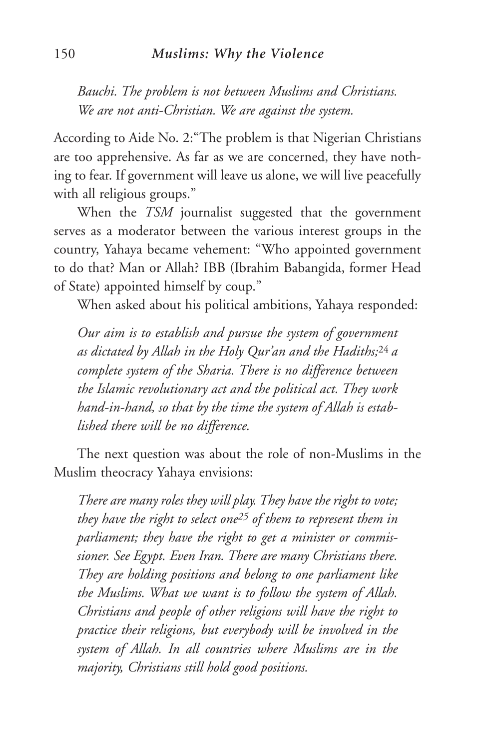*Bauchi. The problem is not between Muslims and Christians. We are not anti-Christian. We are against the system.*

According to Aide No. 2:"The problem is that Nigerian Christians are too apprehensive. As far as we are concerned, they have nothing to fear. If government will leave us alone, we will live peacefully with all religious groups."

When the *TSM* journalist suggested that the government serves as a moderator between the various interest groups in the country, Yahaya became vehement: "Who appointed government to do that? Man or Allah? IBB (Ibrahim Babangida, former Head of State) appointed himself by coup."

When asked about his political ambitions, Yahaya responded:

*Our aim is to establish and pursue the system of government as dictated by Allah in the Holy Qur'an and the Hadiths;*24 *a complete system of the Sharia. There is no difference between the Islamic revolutionary act and the political act. They work hand-in-hand, so that by the time the system of Allah is established there will be no difference.*

The next question was about the role of non-Muslims in the Muslim theocracy Yahaya envisions:

*There are many roles they will play. They have the right to vote; they have the right to select one25 of them to represent them in parliament; they have the right to get a minister or commissioner. See Egypt. Even Iran. There are many Christians there. They are holding positions and belong to one parliament like the Muslims. What we want is to follow the system of Allah. Christians and people of other religions will have the right to practice their religions, but everybody will be involved in the system of Allah. In all countries where Muslims are in the majority, Christians still hold good positions.*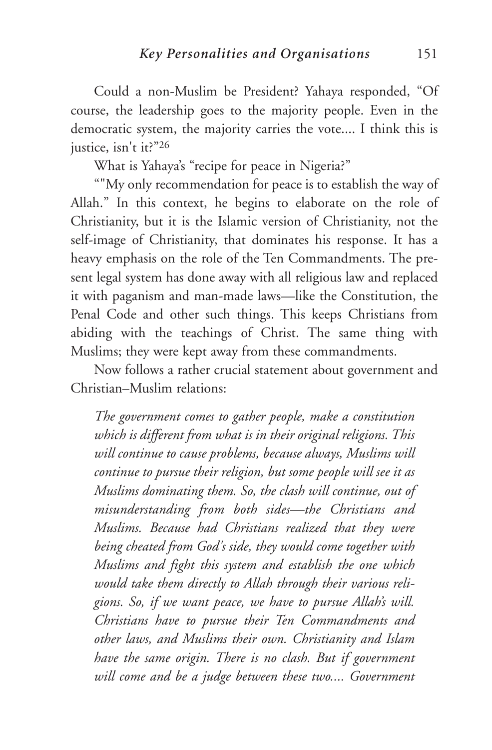Could a non-Muslim be President? Yahaya responded, "Of course, the leadership goes to the majority people. Even in the democratic system, the majority carries the vote.... I think this is justice, isn't it?"26

What is Yahaya's "recipe for peace in Nigeria?"

""My only recommendation for peace is to establish the way of Allah." In this context, he begins to elaborate on the role of Christianity, but it is the Islamic version of Christianity, not the self-image of Christianity, that dominates his response. It has a heavy emphasis on the role of the Ten Commandments. The present legal system has done away with all religious law and replaced it with paganism and man-made laws—like the Constitution, the Penal Code and other such things. This keeps Christians from abiding with the teachings of Christ. The same thing with Muslims; they were kept away from these commandments.

Now follows a rather crucial statement about government and Christian–Muslim relations:

*The government comes to gather people, make a constitution which is different from what is in their original religions. This will continue to cause problems, because always, Muslims will continue to pursue their religion, but some people will see it as Muslims dominating them. So, the clash will continue, out of misunderstanding from both sides—the Christians and Muslims. Because had Christians realized that they were being cheated from God's side, they would come together with Muslims and fight this system and establish the one which would take them directly to Allah through their various religions. So, if we want peace, we have to pursue Allah's will. Christians have to pursue their Ten Commandments and other laws, and Muslims their own. Christianity and Islam have the same origin. There is no clash. But if government will come and be a judge between these two.... Government*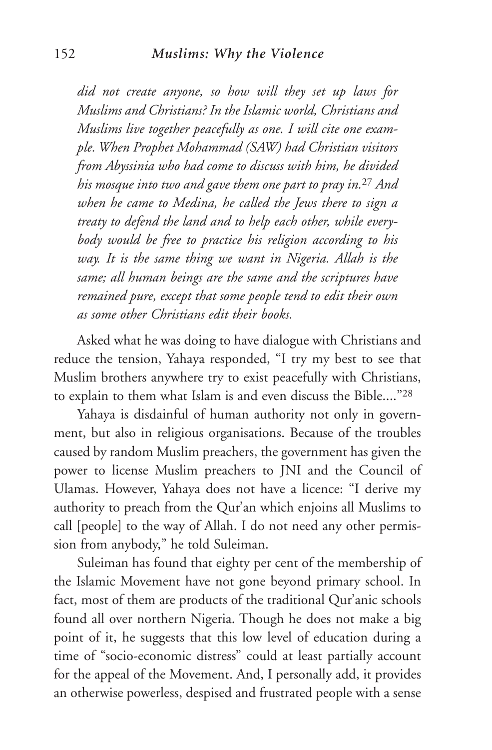*did not create anyone, so how will they set up laws for Muslims and Christians? In the Islamic world, Christians and Muslims live together peacefully as one. I will cite one example. When Prophet Mohammad (SAW) had Christian visitors from Abyssinia who had come to discuss with him, he divided his mosque into two and gave them one part to pray in.*<sup>27</sup> *And when he came to Medina, he called the Jews there to sign a treaty to defend the land and to help each other, while everybody would be free to practice his religion according to his way. It is the same thing we want in Nigeria. Allah is the same; all human beings are the same and the scriptures have remained pure, except that some people tend to edit their own as some other Christians edit their books.*

Asked what he was doing to have dialogue with Christians and reduce the tension, Yahaya responded, "I try my best to see that Muslim brothers anywhere try to exist peacefully with Christians, to explain to them what Islam is and even discuss the Bible...."28

Yahaya is disdainful of human authority not only in government, but also in religious organisations. Because of the troubles caused by random Muslim preachers, the government has given the power to license Muslim preachers to JNI and the Council of Ulamas. However, Yahaya does not have a licence: "I derive my authority to preach from the Qur'an which enjoins all Muslims to call [people] to the way of Allah. I do not need any other permission from anybody," he told Suleiman.

Suleiman has found that eighty per cent of the membership of the Islamic Movement have not gone beyond primary school. In fact, most of them are products of the traditional Qur'anic schools found all over northern Nigeria. Though he does not make a big point of it, he suggests that this low level of education during a time of "socio-economic distress" could at least partially account for the appeal of the Movement. And, I personally add, it provides an otherwise powerless, despised and frustrated people with a sense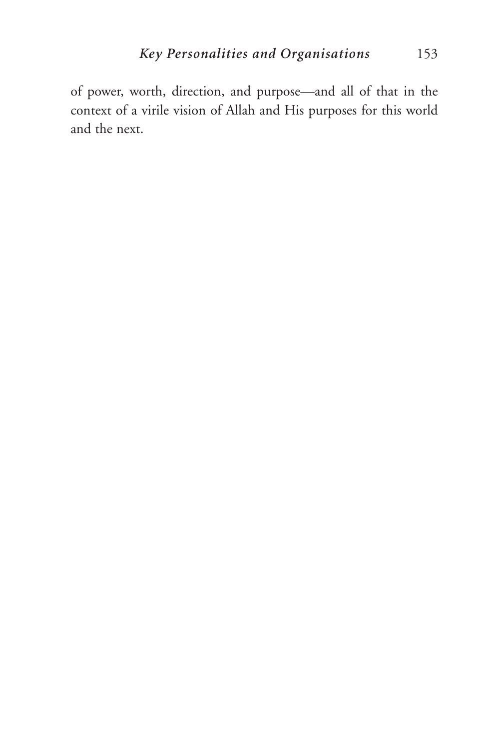of power, worth, direction, and purpose—and all of that in the context of a virile vision of Allah and His purposes for this world and the next.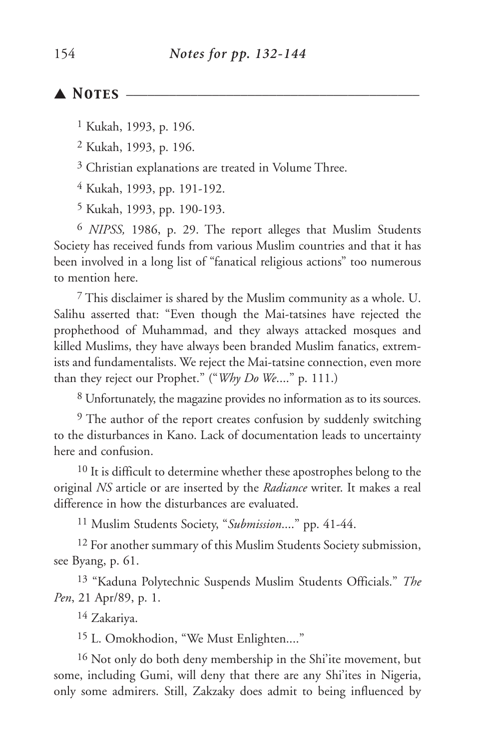### ▲ *Notes* \_\_\_\_\_\_\_\_\_\_\_\_\_\_\_\_\_\_\_\_\_\_\_\_\_\_\_\_\_\_\_\_\_\_\_\_\_\_\_\_\_

1 Kukah, 1993, p. 196.

2 Kukah, 1993, p. 196.

3 Christian explanations are treated in Volume Three.

4 Kukah, 1993, pp. 191-192.

5 Kukah, 1993, pp. 190-193.

6 *NIPSS,* 1986, p. 29. The report alleges that Muslim Students Society has received funds from various Muslim countries and that it has been involved in a long list of "fanatical religious actions" too numerous to mention here.

7 This disclaimer is shared by the Muslim community as a whole. U. Salihu asserted that: "Even though the Mai-tatsines have rejected the prophethood of Muhammad, and they always attacked mosques and killed Muslims, they have always been branded Muslim fanatics, extremists and fundamentalists. We reject the Mai-tatsine connection, even more than they reject our Prophet." ("*Why Do We*...." p. 111.)

8 Unfortunately, the magazine provides no information as to its sources.

<sup>9</sup> The author of the report creates confusion by suddenly switching to the disturbances in Kano. Lack of documentation leads to uncertainty here and confusion.

<sup>10</sup> It is difficult to determine whether these apostrophes belong to the original *NS* article or are inserted by the *Radiance* writer. It makes a real difference in how the disturbances are evaluated.

11 Muslim Students Society, "*Submission*...." pp. 41-44.

12 For another summary of this Muslim Students Society submission, see Byang, p. 61.

13 "Kaduna Polytechnic Suspends Muslim Students Officials." *The Pen*, 21 Apr/89, p. 1.

14 Zakariya.

<sup>15</sup> L. Omokhodion, "We Must Enlighten...."

16 Not only do both deny membership in the Shi'ite movement, but some, including Gumi, will deny that there are any Shi'ites in Nigeria, only some admirers. Still, Zakzaky does admit to being influenced by